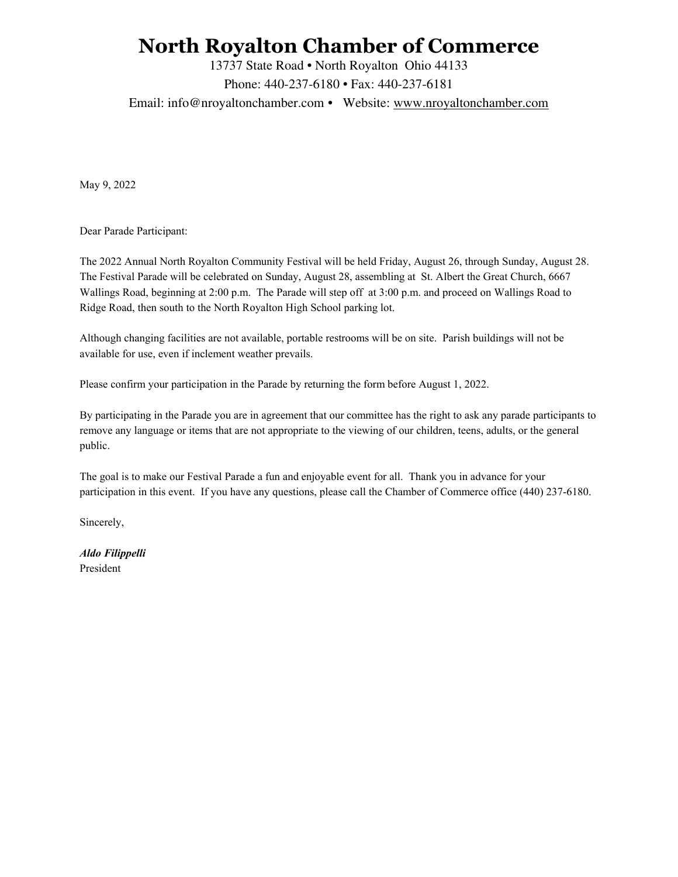## **North Royalton Chamber of Commerce**

13737 State Road • North Royalton Ohio 44133

Phone: 440-237-6180 • Fax: 440-237-6181

Email: info@nroyaltonchamber.com • Website: www.nroyaltonchamber.com

May 9, 2022

Dear Parade Participant:

The 2022 Annual North Royalton Community Festival will be held Friday, August 26, through Sunday, August 28. The Festival Parade will be celebrated on Sunday, August 28, assembling at St. Albert the Great Church, 6667 Wallings Road, beginning at 2:00 p.m. The Parade will step off at 3:00 p.m. and proceed on Wallings Road to Ridge Road, then south to the North Royalton High School parking lot.

Although changing facilities are not available, portable restrooms will be on site. Parish buildings will not be available for use, even if inclement weather prevails.

Please confirm your participation in the Parade by returning the form before August 1, 2022.

By participating in the Parade you are in agreement that our committee has the right to ask any parade participants to remove any language or items that are not appropriate to the viewing of our children, teens, adults, or the general public.

The goal is to make our Festival Parade a fun and enjoyable event for all. Thank you in advance for your participation in this event. If you have any questions, please call the Chamber of Commerce office (440) 237-6180.

Sincerely,

*Aldo Filippelli* President